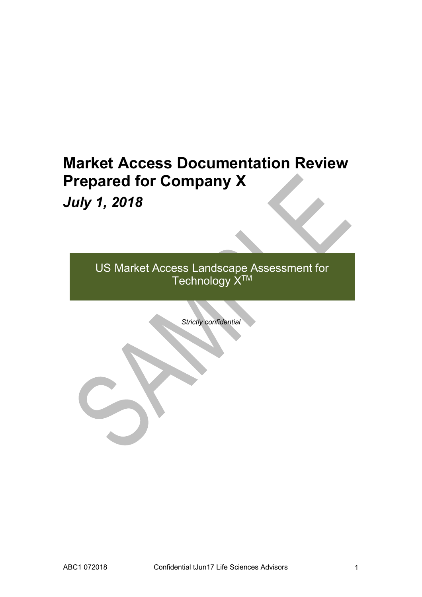# **Market Access Documentation Review Prepared for Company X** *July 1, 2018*

US Market Access Landscape Assessment for Technology X™

*Strictly confidential*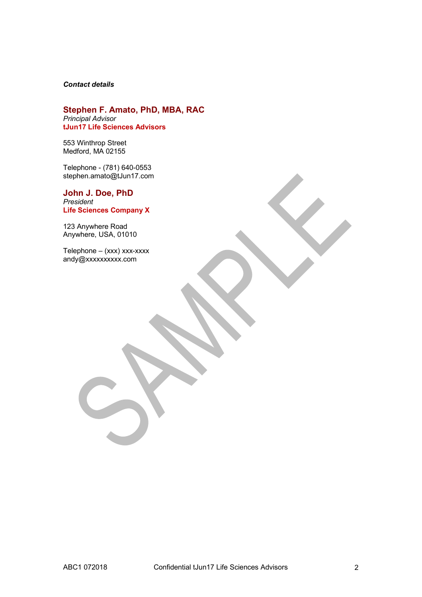#### *Contact details*

#### **Stephen F. Amato, PhD, MBA, RAC** *Principal Advisor* **tJun17 Life Sciences Advisors**

553 Winthrop Street Medford, MA 02155

Telephone - (781) 640-0553 stephen.amato@tJun17.com

**John J. Doe, PhD** *President* **Life Sciences Company X**

123 Anywhere Road Anywhere, USA, 01010

Telephone – (xxx) xxx-xxxx andy@xxxxxxxxxx.com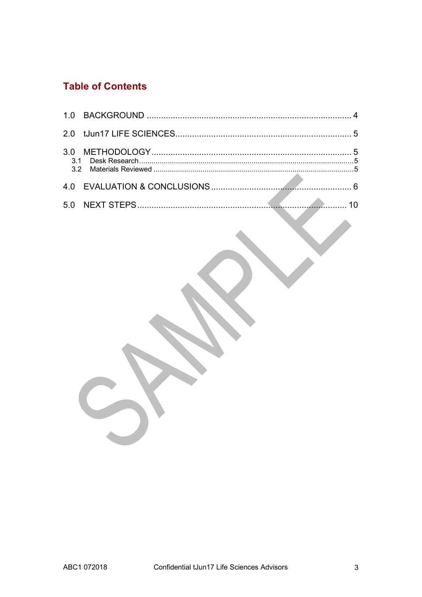## **Table of Contents**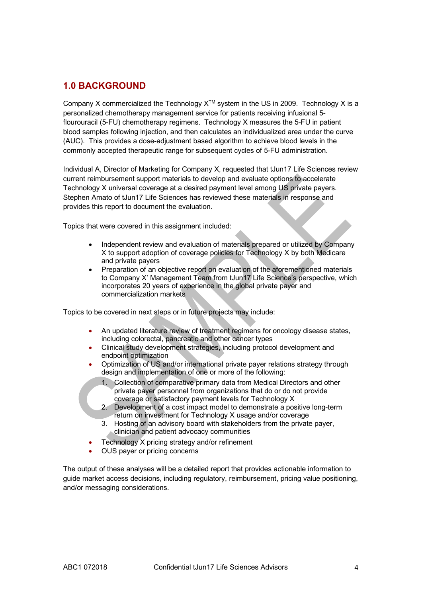## **1.0 BACKGROUND**

Company X commercialized the Technology  $X^{TM}$  system in the US in 2009. Technology X is a personalized chemotherapy management service for patients receiving infusional 5 flourouracil (5-FU) chemotherapy regimens. Technology X measures the 5-FU in patient blood samples following injection, and then calculates an individualized area under the curve (AUC). This provides a dose-adjustment based algorithm to achieve blood levels in the commonly accepted therapeutic range for subsequent cycles of 5-FU administration.

Individual A, Director of Marketing for Company X, requested that tJun17 Life Sciences review current reimbursement support materials to develop and evaluate options to accelerate Technology X universal coverage at a desired payment level among US private payers. Stephen Amato of tJun17 Life Sciences has reviewed these materials in response and provides this report to document the evaluation.

Topics that were covered in this assignment included:

- Independent review and evaluation of materials prepared or utilized by Company X to support adoption of coverage policies for Technology X by both Medicare and private payers
- Preparation of an objective report on evaluation of the aforementioned materials to Company X' Management Team from tJun17 Life Science's perspective, which incorporates 20 years of experience in the global private payer and commercialization markets

Topics to be covered in next steps or in future projects may include:

- An updated literature review of treatment regimens for oncology disease states, including colorectal, pancreatic and other cancer types
- Clinical study development strategies, including protocol development and endpoint optimization
- Optimization of US and/or international private payer relations strategy through design and implementation of one or more of the following:
	- 1. Collection of comparative primary data from Medical Directors and other private payer personnel from organizations that do or do not provide coverage or satisfactory payment levels for Technology X
	- 2. Development of a cost impact model to demonstrate a positive long-term return on investment for Technology X usage and/or coverage
	- 3. Hosting of an advisory board with stakeholders from the private payer, clinician and patient advocacy communities
- Technology X pricing strategy and/or refinement
- OUS payer or pricing concerns

The output of these analyses will be a detailed report that provides actionable information to guide market access decisions, including regulatory, reimbursement, pricing value positioning, and/or messaging considerations.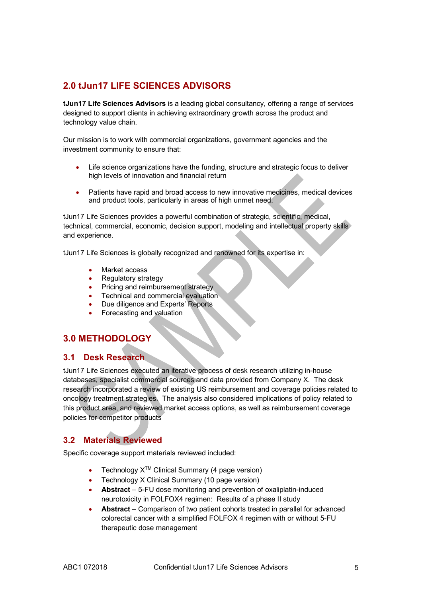## **2.0 tJun17 LIFE SCIENCES ADVISORS**

**tJun17 Life Sciences Advisors** is a leading global consultancy, offering a range of services designed to support clients in achieving extraordinary growth across the product and technology value chain.

Our mission is to work with commercial organizations, government agencies and the investment community to ensure that:

- Life science organizations have the funding, structure and strategic focus to deliver high levels of innovation and financial return
- Patients have rapid and broad access to new innovative medicines, medical devices and product tools, particularly in areas of high unmet need.

tJun17 Life Sciences provides a powerful combination of strategic, scientific, medical, technical, commercial, economic, decision support, modeling and intellectual property skills and experience.

tJun17 Life Sciences is globally recognized and renowned for its expertise in:

- Market access
- Regulatory strategy
- Pricing and reimbursement strategy
- Technical and commercial evaluation
- Due diligence and Experts' Reports
- Forecasting and valuation

## **3.0 METHODOLOGY**

#### **3.1 Desk Research**

tJun17 Life Sciences executed an iterative process of desk research utilizing in-house databases, specialist commercial sources and data provided from Company X. The desk research incorporated a review of existing US reimbursement and coverage policies related to oncology treatment strategies. The analysis also considered implications of policy related to this product area, and reviewed market access options, as well as reimbursement coverage policies for competitor products

## **3.2 Materials Reviewed**

Specific coverage support materials reviewed included:

- Technology  $X^{TM}$  Clinical Summary (4 page version)
- Technology X Clinical Summary (10 page version)
- **Abstract**  5-FU dose monitoring and prevention of oxaliplatin-induced neurotoxicity in FOLFOX4 regimen: Results of a phase II study
- **Abstract**  Comparison of two patient cohorts treated in parallel for advanced colorectal cancer with a simplified FOLFOX 4 regimen with or without 5-FU therapeutic dose management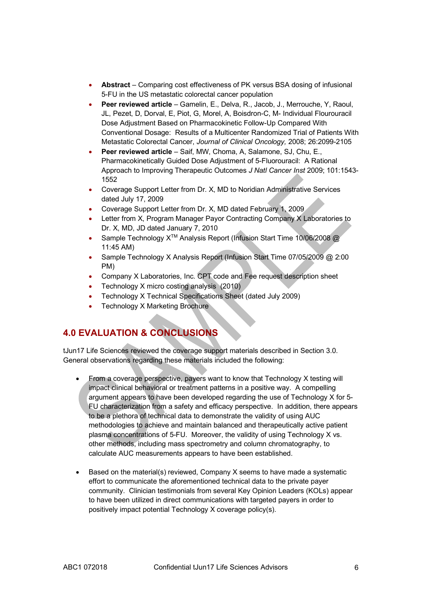- **Abstract** Comparing cost effectiveness of PK versus BSA dosing of infusional 5-FU in the US metastatic colorectal cancer population
- **Peer reviewed article** Gamelin, E., Delva, R., Jacob, J., Merrouche, Y, Raoul, JL, Pezet, D, Dorval, E, Piot, G, Morel, A, Boisdron-C, M- Individual Flourouracil Dose Adjustment Based on Pharmacokinetic Follow-Up Compared With Conventional Dosage: Results of a Multicenter Randomized Trial of Patients With Metastatic Colorectal Cancer, *Journal of Clinical Oncology,* 2008; 26:2099-2105
- **Peer reviewed article** Saif, MW, Choma, A, Salamone, SJ, Chu, E., Pharmacokinetically Guided Dose Adjustment of 5-Fluorouracil: A Rational Approach to Improving Therapeutic Outcomes *J Natl Cancer Inst* 2009; 101:1543- 1552
- Coverage Support Letter from Dr. X, MD to Noridian Administrative Services dated July 17, 2009
- Coverage Support Letter from Dr. X, MD dated February 1, 2009
- Letter from X, Program Manager Payor Contracting Company X Laboratories to Dr. X, MD, JD dated January 7, 2010
- Sample Technology X<sup>™</sup> Analysis Report (Infusion Start Time 10/06/2008 @ 11:45 AM)
- Sample Technology X Analysis Report (Infusion Start Time 07/05/2009 @ 2:00 PM)
- Company X Laboratories, Inc. CPT code and Fee request description sheet
- Technology X micro costing analysis (2010)
- Technology X Technical Specifications Sheet (dated July 2009)
- Technology X Marketing Brochure

## **4.0 EVALUATION & CONCLUSIONS**

tJun17 Life Sciences reviewed the coverage support materials described in Section 3.0. General observations regarding these materials included the following:

- From a coverage perspective, payers want to know that Technology X testing will impact clinical behavioral or treatment patterns in a positive way. A compelling argument appears to have been developed regarding the use of Technology X for 5- FU characterization from a safety and efficacy perspective. In addition, there appears to be a plethora of technical data to demonstrate the validity of using AUC methodologies to achieve and maintain balanced and therapeutically active patient plasma concentrations of 5-FU. Moreover, the validity of using Technology X vs. other methods, including mass spectrometry and column chromatography, to calculate AUC measurements appears to have been established.
- Based on the material(s) reviewed, Company X seems to have made a systematic effort to communicate the aforementioned technical data to the private payer community. Clinician testimonials from several Key Opinion Leaders (KOLs) appear to have been utilized in direct communications with targeted payers in order to positively impact potential Technology X coverage policy(s).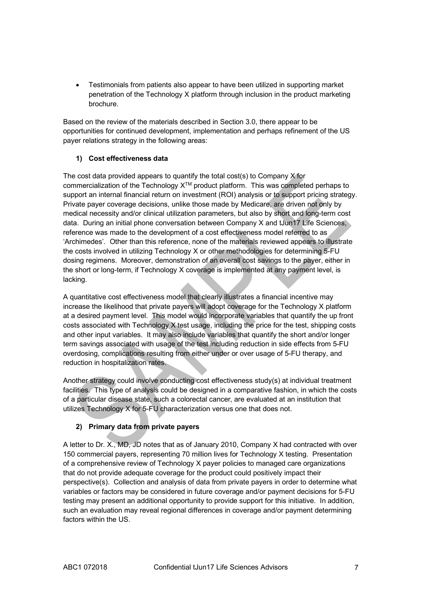• Testimonials from patients also appear to have been utilized in supporting market penetration of the Technology X platform through inclusion in the product marketing brochure.

Based on the review of the materials described in Section 3.0, there appear to be opportunities for continued development, implementation and perhaps refinement of the US payer relations strategy in the following areas:

#### **1) Cost effectiveness data**

The cost data provided appears to quantify the total cost(s) to Company X for commercialization of the Technology  $X^{TM}$  product platform. This was completed perhaps to support an internal financial return on investment (ROI) analysis or to support pricing strategy. Private payer coverage decisions, unlike those made by Medicare, are driven not only by medical necessity and/or clinical utilization parameters, but also by short and long-term cost data. During an initial phone conversation between Company X and tJun17 Life Sciences, reference was made to the development of a cost effectiveness model referred to as 'Archimedes'. Other than this reference, none of the materials reviewed appears to illustrate the costs involved in utilizing Technology X or other methodologies for determining 5-FU dosing regimens. Moreover, demonstration of an overall cost savings to the payer, either in the short or long-term, if Technology X coverage is implemented at any payment level, is lacking.

A quantitative cost effectiveness model that clearly illustrates a financial incentive may increase the likelihood that private payers will adopt coverage for the Technology X platform at a desired payment level. This model would incorporate variables that quantify the up front costs associated with Technology X test usage, including the price for the test, shipping costs and other input variables. It may also include variables that quantify the short and/or longer term savings associated with usage of the test including reduction in side effects from 5-FU overdosing, complications resulting from either under or over usage of 5-FU therapy, and reduction in hospitalization rates.

Another strategy could involve conducting cost effectiveness study(s) at individual treatment facilities. This type of analysis could be designed in a comparative fashion, in which the costs of a particular disease state, such a colorectal cancer, are evaluated at an institution that utilizes Technology X for 5-FU characterization versus one that does not.

#### **2) Primary data from private payers**

A letter to Dr. X., MD, JD notes that as of January 2010, Company X had contracted with over 150 commercial payers, representing 70 million lives for Technology X testing. Presentation of a comprehensive review of Technology X payer policies to managed care organizations that do not provide adequate coverage for the product could positively impact their perspective(s). Collection and analysis of data from private payers in order to determine what variables or factors may be considered in future coverage and/or payment decisions for 5-FU testing may present an additional opportunity to provide support for this initiative. In addition, such an evaluation may reveal regional differences in coverage and/or payment determining factors within the US.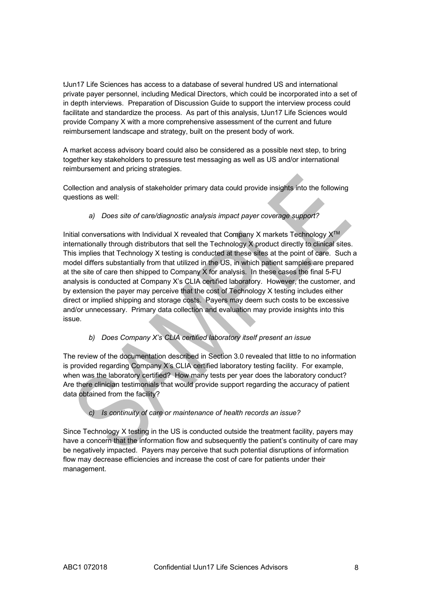tJun17 Life Sciences has access to a database of several hundred US and international private payer personnel, including Medical Directors, which could be incorporated into a set of in depth interviews. Preparation of Discussion Guide to support the interview process could facilitate and standardize the process. As part of this analysis, tJun17 Life Sciences would provide Company X with a more comprehensive assessment of the current and future reimbursement landscape and strategy, built on the present body of work.

A market access advisory board could also be considered as a possible next step, to bring together key stakeholders to pressure test messaging as well as US and/or international reimbursement and pricing strategies.

Collection and analysis of stakeholder primary data could provide insights into the following questions as well:

#### *a) Does site of care/diagnostic analysis impact payer coverage support?*

Initial conversations with Individual X revealed that Company X markets Technology  $X^{tm}$ internationally through distributors that sell the Technology X product directly to clinical sites. This implies that Technology X testing is conducted at these sites at the point of care. Such a model differs substantially from that utilized in the US, in which patient samples are prepared at the site of care then shipped to Company X for analysis. In these cases the final 5-FU analysis is conducted at Company X's CLIA certified laboratory. However, the customer, and by extension the payer may perceive that the cost of Technology X testing includes either direct or implied shipping and storage costs. Payers may deem such costs to be excessive and/or unnecessary. Primary data collection and evaluation may provide insights into this issue.

#### *b) Does Company X's CLIA certified laboratory itself present an issue*

The review of the documentation described in Section 3.0 revealed that little to no information is provided regarding Company X's CLIA certified laboratory testing facility. For example, when was the laboratory certified? How many tests per year does the laboratory conduct? Are there clinician testimonials that would provide support regarding the accuracy of patient data obtained from the facility?

#### *c) Is continuity of care or maintenance of health records an issue?*

Since Technology X testing in the US is conducted outside the treatment facility, payers may have a concern that the information flow and subsequently the patient's continuity of care may be negatively impacted. Payers may perceive that such potential disruptions of information flow may decrease efficiencies and increase the cost of care for patients under their management.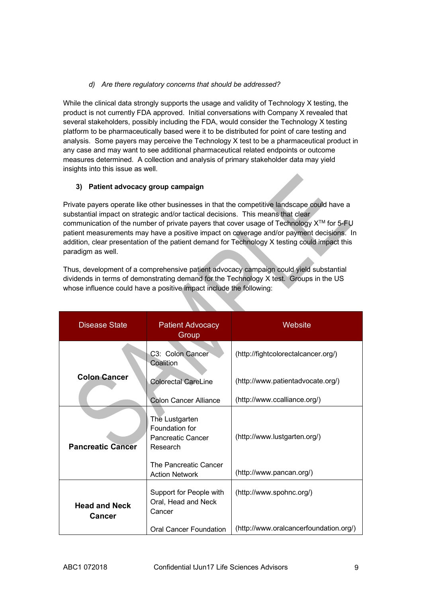#### *d) Are there regulatory concerns that should be addressed?*

While the clinical data strongly supports the usage and validity of Technology X testing, the product is not currently FDA approved. Initial conversations with Company X revealed that several stakeholders, possibly including the FDA, would consider the Technology X testing platform to be pharmaceutically based were it to be distributed for point of care testing and analysis. Some payers may perceive the Technology X test to be a pharmaceutical product in any case and may want to see additional pharmaceutical related endpoints or outcome measures determined. A collection and analysis of primary stakeholder data may yield insights into this issue as well.

#### **3) Patient advocacy group campaign**

Private payers operate like other businesses in that the competitive landscape could have a substantial impact on strategic and/or tactical decisions. This means that clear communication of the number of private payers that cover usage of Technology X™ for 5-FU patient measurements may have a positive impact on coverage and/or payment decisions. In addition, clear presentation of the patient demand for Technology X testing could impact this paradigm as well.

Thus, development of a comprehensive patient advocacy campaign could yield substantial dividends in terms of demonstrating demand for the Technology X test. Groups in the US whose influence could have a positive impact include the following:

| Disease State                  | <b>Patient Advocacy</b><br>Group                                                                                    | Website                                                  |
|--------------------------------|---------------------------------------------------------------------------------------------------------------------|----------------------------------------------------------|
|                                | C3: Colon Cancer<br>Coalition                                                                                       | (http://fightcolorectalcancer.org/)                      |
| <b>Colon Cancer</b>            | <b>Colorectal CareLine</b>                                                                                          | (http://www.patientadvocate.org/)                        |
|                                | <b>Colon Cancer Alliance</b>                                                                                        | (http://www.ccalliance.org/)                             |
| <b>Pancreatic Cancer</b>       | The Lustgarten<br>Foundation for<br>Pancreatic Cancer<br>Research<br>The Pancreatic Cancer<br><b>Action Network</b> | (http://www.lustgarten.org/)<br>(http://www.pancan.org/) |
| <b>Head and Neck</b><br>Cancer | Support for People with<br>Oral, Head and Neck<br>Cancer                                                            | (http://www.spohnc.org/)                                 |
|                                | Oral Cancer Foundation                                                                                              | (http://www.oralcancerfoundation.org/)                   |